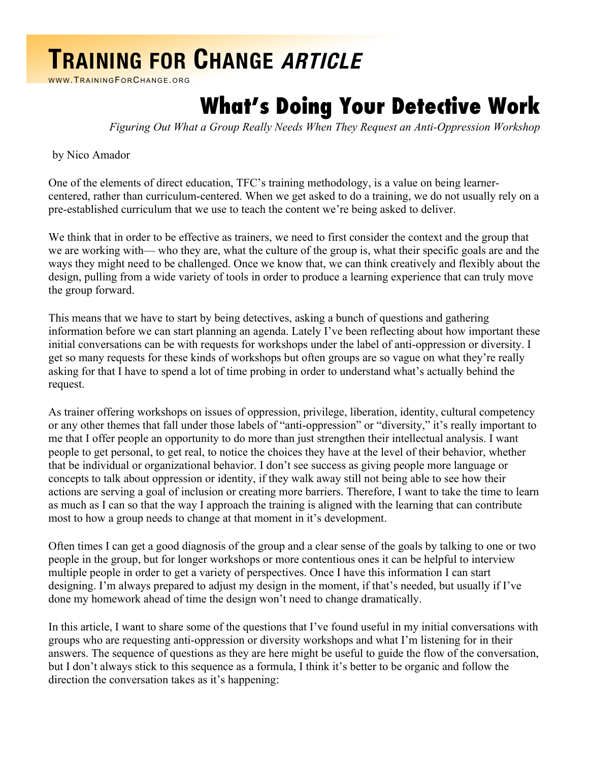## **TRAINING FOR CHANGE ARTICLE**

WWW.TRAININGFORCHANGE.ORG

## **What's Doing Your Detective Work**

*Figuring Out What a Group Really Needs When They Request an Anti-Oppression Workshop*

by Nico Amador

One of the elements of direct education, TFC's training methodology, is a value on being learnercentered, rather than curriculum-centered. When we get asked to do a training, we do not usually rely on a pre-established curriculum that we use to teach the content we're being asked to deliver.

We think that in order to be effective as trainers, we need to first consider the context and the group that we are working with— who they are, what the culture of the group is, what their specific goals are and the ways they might need to be challenged. Once we know that, we can think creatively and flexibly about the design, pulling from a wide variety of tools in order to produce a learning experience that can truly move the group forward.

This means that we have to start by being detectives, asking a bunch of questions and gathering information before we can start planning an agenda. Lately I've been reflecting about how important these initial conversations can be with requests for workshops under the label of anti-oppression or diversity. I get so many requests for these kinds of workshops but often groups are so vague on what they're really asking for that I have to spend a lot of time probing in order to understand what's actually behind the request.

As trainer offering workshops on issues of oppression, privilege, liberation, identity, cultural competency or any other themes that fall under those labels of "anti-oppression" or "diversity," it's really important to me that I offer people an opportunity to do more than just strengthen their intellectual analysis. I want people to get personal, to get real, to notice the choices they have at the level of their behavior, whether that be individual or organizational behavior. I don't see success as giving people more language or concepts to talk about oppression or identity, if they walk away still not being able to see how their actions are serving a goal of inclusion or creating more barriers. Therefore, I want to take the time to learn as much as I can so that the way I approach the training is aligned with the learning that can contribute most to how a group needs to change at that moment in it's development.

Often times I can get a good diagnosis of the group and a clear sense of the goals by talking to one or two people in the group, but for longer workshops or more contentious ones it can be helpful to interview multiple people in order to get a variety of perspectives. Once I have this information I can start designing. I'm always prepared to adjust my design in the moment, if that's needed, but usually if I've done my homework ahead of time the design won't need to change dramatically.

In this article, I want to share some of the questions that I've found useful in my initial conversations with groups who are requesting anti-oppression or diversity workshops and what I'm listening for in their answers. The sequence of questions as they are here might be useful to guide the flow of the conversation, but I don't always stick to this sequence as a formula, I think it's better to be organic and follow the direction the conversation takes as it's happening: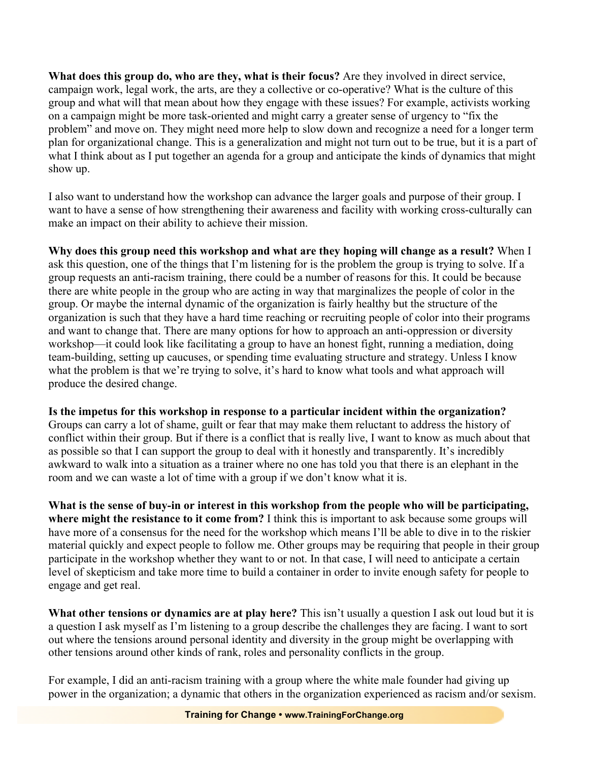**What does this group do, who are they, what is their focus?** Are they involved in direct service, campaign work, legal work, the arts, are they a collective or co-operative? What is the culture of this group and what will that mean about how they engage with these issues? For example, activists working on a campaign might be more task-oriented and might carry a greater sense of urgency to "fix the problem" and move on. They might need more help to slow down and recognize a need for a longer term plan for organizational change. This is a generalization and might not turn out to be true, but it is a part of what I think about as I put together an agenda for a group and anticipate the kinds of dynamics that might show up.

I also want to understand how the workshop can advance the larger goals and purpose of their group. I want to have a sense of how strengthening their awareness and facility with working cross-culturally can make an impact on their ability to achieve their mission.

**Why does this group need this workshop and what are they hoping will change as a result?** When I ask this question, one of the things that I'm listening for is the problem the group is trying to solve. If a group requests an anti-racism training, there could be a number of reasons for this. It could be because there are white people in the group who are acting in way that marginalizes the people of color in the group. Or maybe the internal dynamic of the organization is fairly healthy but the structure of the organization is such that they have a hard time reaching or recruiting people of color into their programs and want to change that. There are many options for how to approach an anti-oppression or diversity workshop—it could look like facilitating a group to have an honest fight, running a mediation, doing team-building, setting up caucuses, or spending time evaluating structure and strategy. Unless I know what the problem is that we're trying to solve, it's hard to know what tools and what approach will produce the desired change.

**Is the impetus for this workshop in response to a particular incident within the organization?**

Groups can carry a lot of shame, guilt or fear that may make them reluctant to address the history of conflict within their group. But if there is a conflict that is really live, I want to know as much about that as possible so that I can support the group to deal with it honestly and transparently. It's incredibly awkward to walk into a situation as a trainer where no one has told you that there is an elephant in the room and we can waste a lot of time with a group if we don't know what it is.

**What is the sense of buy-in or interest in this workshop from the people who will be participating, where might the resistance to it come from?** I think this is important to ask because some groups will have more of a consensus for the need for the workshop which means I'll be able to dive in to the riskier material quickly and expect people to follow me. Other groups may be requiring that people in their group participate in the workshop whether they want to or not. In that case, I will need to anticipate a certain level of skepticism and take more time to build a container in order to invite enough safety for people to engage and get real.

**What other tensions or dynamics are at play here?** This isn't usually a question I ask out loud but it is a question I ask myself as I'm listening to a group describe the challenges they are facing. I want to sort out where the tensions around personal identity and diversity in the group might be overlapping with other tensions around other kinds of rank, roles and personality conflicts in the group.

For example, I did an anti-racism training with a group where the white male founder had giving up power in the organization; a dynamic that others in the organization experienced as racism and/or sexism.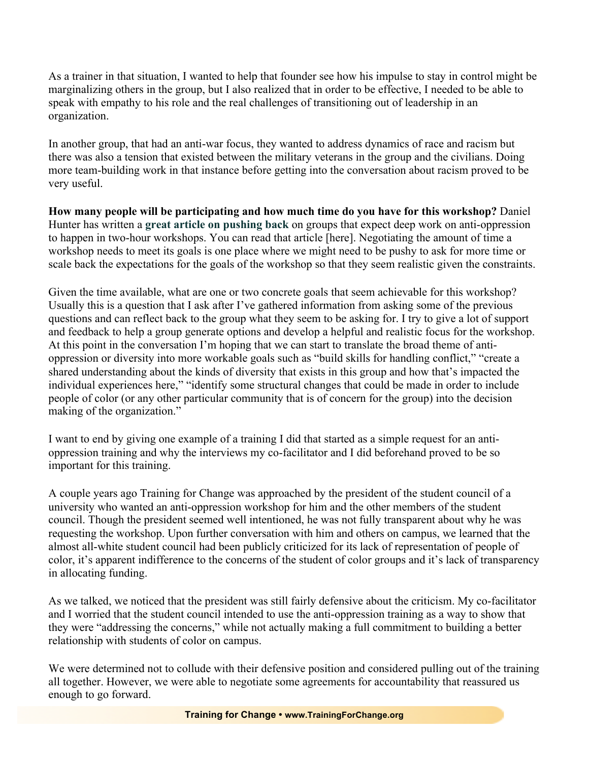As a trainer in that situation, I wanted to help that founder see how his impulse to stay in control might be marginalizing others in the group, but I also realized that in order to be effective, I needed to be able to speak with empathy to his role and the real challenges of transitioning out of leadership in an organization.

In another group, that had an anti-war focus, they wanted to address dynamics of race and racism but there was also a tension that existed between the military veterans in the group and the civilians. Doing more team-building work in that instance before getting into the conversation about racism proved to be very useful.

**How many people will be participating and how much time do you have for this workshop?** Daniel Hunter has written a **great article on pushing back** on groups that expect deep work on anti-oppression to happen in two-hour workshops. You can read that article [here]. Negotiating the amount of time a workshop needs to meet its goals is one place where we might need to be pushy to ask for more time or scale back the expectations for the goals of the workshop so that they seem realistic given the constraints.

Given the time available, what are one or two concrete goals that seem achievable for this workshop? Usually this is a question that I ask after I've gathered information from asking some of the previous questions and can reflect back to the group what they seem to be asking for. I try to give a lot of support and feedback to help a group generate options and develop a helpful and realistic focus for the workshop. At this point in the conversation I'm hoping that we can start to translate the broad theme of antioppression or diversity into more workable goals such as "build skills for handling conflict," "create a shared understanding about the kinds of diversity that exists in this group and how that's impacted the individual experiences here," "identify some structural changes that could be made in order to include people of color (or any other particular community that is of concern for the group) into the decision making of the organization."

I want to end by giving one example of a training I did that started as a simple request for an antioppression training and why the interviews my co-facilitator and I did beforehand proved to be so important for this training.

A couple years ago Training for Change was approached by the president of the student council of a university who wanted an anti-oppression workshop for him and the other members of the student council. Though the president seemed well intentioned, he was not fully transparent about why he was requesting the workshop. Upon further conversation with him and others on campus, we learned that the almost all-white student council had been publicly criticized for its lack of representation of people of color, it's apparent indifference to the concerns of the student of color groups and it's lack of transparency in allocating funding.

As we talked, we noticed that the president was still fairly defensive about the criticism. My co-facilitator and I worried that the student council intended to use the anti-oppression training as a way to show that they were "addressing the concerns," while not actually making a full commitment to building a better relationship with students of color on campus.

We were determined not to collude with their defensive position and considered pulling out of the training all together. However, we were able to negotiate some agreements for accountability that reassured us enough to go forward.